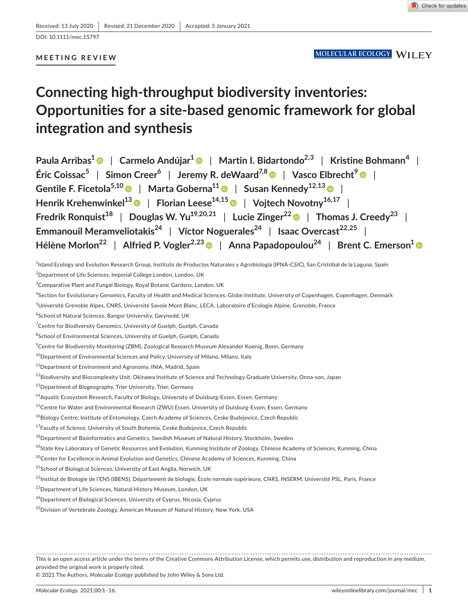DOI: 10.1111/mec.15797

## **MEETING REVIEW**

# **Connecting high-throughput biodiversity inventories: Opportunities for a site-based genomic framework for global integration and synthesis**

**Paula Arribas<sup>1</sup>** | **Carmelo Andújar[1](https://orcid.org/0000-0001-9759-7402)** | **Martin I. Bidartondo2,3** | **Kristine Bohmann<sup>4</sup>** |  $\mathsf{Enc} \cdot \mathsf{Coissac}^5 \quad | \quad \mathsf{Simon} \cdot \mathsf{Creer}^6 \quad | \quad \mathsf{Jeremy} \cdot \mathsf{R} \cdot \mathsf{deWaard}^{7,8} \quad | \quad \mathsf{Vasco} \cdot \mathsf{Elbrecht}^9 \quad | \quad \mathsf{R} \cdot \mathsf{Cone}$ **Gentile F. Ficetola5,1[0](https://orcid.org/0000-0003-3414-5155)** | **Marta Goberna1[1](https://orcid.org/0000-0001-5303-3429)** | **Susan Kennedy12,1[3](https://orcid.org/0000-0002-1616-3985)** | **Henrik Krehenwinkel1[3](https://orcid.org/0000-0001-5069-8601)** | **Florian Leese14,15** | **Vojtech Novotny16,17** | **Fredrik Ronquist<sup>18</sup>** | **Douglas W. Yu19,20,21** | **Lucie Zinger2[2](https://orcid.org/0000-0002-3400-5825)** | **Thomas J. Creedy<sup>23</sup>** | **Emmanouil Meramveliotakis<sup>24</sup> | Víctor Noguerales<sup>24</sup> | Isaac Overcast<sup>22,25</sup> | Hélène Morlon22** | **Alfried P. Vogler2,23** | **Anna Papadopoulou24** | **Brent C. Emerson[1](https://orcid.org/0000-0003-4067-9858)**

1 Island Ecology and Evolution Research Group, Instituto de Productos Naturales y Agrobiología (IPNA-CSIC), San Cristóbal de la Laguna, Spain

 $^2$ Department of Life Sciences, Imperial College London, London, UK

 $^3$ Comparative Plant and Fungal Biology, Royal Botanic Gardens, London, UK

4 Section for Evolutionary Genomics, Faculty of Health and Medical Sciences, Globe Institute, University of Copenhagen, Copenhagen, Denmark

<sup>5</sup>Université Grenoble Alpes, CNRS, Université Savoie Mont Blanc, LECA, Laboratoire d'Ecologie Alpine, Grenoble, France

6 School of Natural Sciences, Bangor University, Gwynedd, UK

<sup>7</sup>Centre for Biodiversity Genomics, University of Guelph, Guelph, Canada

<sup>8</sup>School of Environmental Sciences, University of Guelph, Guelph, Canada

 $\rm ^9$ Centre for Biodiversity Monitoring (ZBM), Zoological Research Museum Alexander Koenig, Bonn, Germany

<sup>10</sup>Department of Environmental Sciences and Policy, University of Milano, Milano, Italy

<sup>11</sup>Department of Environment and Agronomy, INIA, Madrid, Spain

<sup>12</sup>Biodiversity and Biocomplexity Unit, Okinawa Institute of Science and Technology Graduate University, Onna-son, Japan

<sup>13</sup> Department of Biogeography, Trier University, Trier, Germany

<sup>14</sup> Aquatic Ecosystem Research, Faculty of Biology, University of Duisburg-Essen, Essen, Germany

<sup>15</sup>Centre for Water and Environmental Research (ZWU) Essen, University of Duisburg-Essen, Essen, Germany

<sup>16</sup>Biology Centre, Institute of Entomology, Czech Academy of Sciences, Ceske Budejovice, Czech Republic

<sup>17</sup>Faculty of Science, University of South Bohemia, Ceske Budejovice, Czech Republic

<sup>18</sup> Department of Bioinformatics and Genetics, Swedish Museum of Natural History, Stockholm, Sweden

<sup>19</sup>State Key Laboratory of Genetic Resources and Evolution, Kunming Institute of Zoology, Chinese Academy of Sciences, Kunming, China

<sup>20</sup>Center for Excellence in Animal Evolution and Genetics, Chinese Academy of Sciences, Kunming, China

<sup>21</sup>School of Biological Sciences, University of East Anglia, Norwich, UK

<sup>22</sup>Institut de Biologie de l'ENS (IBENS), Département de biologie, École normale supérieure, CNRS, INSERM, Université PSL, Paris, France

<sup>23</sup> Department of Life Sciences, Natural History Museum, London, UK

<sup>24</sup>Department of Biological Sciences, University of Cyprus, Nicosia, Cyprus

<sup>25</sup> Division of Vertebrate Zoology, American Museum of Natural History, New York, USA

This is an open access article under the terms of the [Creative Commons Attribution](http://creativecommons.org/licenses/by/4.0/) License, which permits use, distribution and reproduction in any medium, provided the original work is properly cited.

© 2021 The Authors. *Molecular Ecology* published by John Wiley & Sons Ltd.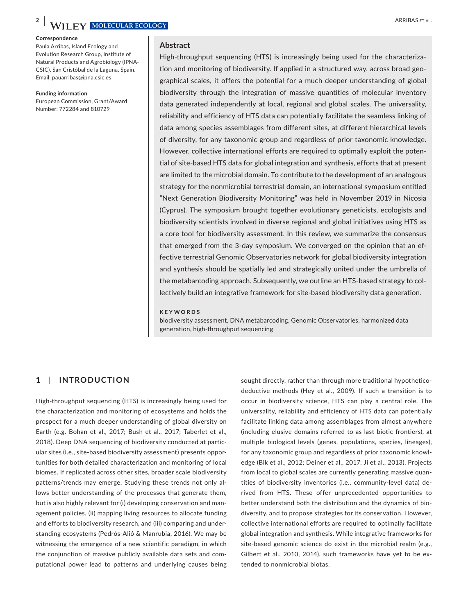**2 ARRIBAS ET AL. ARRIBAS ET AL. ARRIBAS ET AL. ARRIBAS ET AL.** 

#### **Correspondence**

Paula Arribas, Island Ecology and Evolution Research Group, Institute of Natural Products and Agrobiology (IPNA-CSIC), San Cristóbal de la Laguna, Spain. Email: [pauarribas@ipna.csic.es](mailto:pauarribas@ipna.csic.es)

#### **Funding information**

European Commission, Grant/Award Number: 772284 and 810729

#### **Abstract**

High-throughput sequencing (HTS) is increasingly being used for the characterization and monitoring of biodiversity. If applied in a structured way, across broad geographical scales, it offers the potential for a much deeper understanding of global biodiversity through the integration of massive quantities of molecular inventory data generated independently at local, regional and global scales. The universality, reliability and efficiency of HTS data can potentially facilitate the seamless linking of data among species assemblages from different sites, at different hierarchical levels of diversity, for any taxonomic group and regardless of prior taxonomic knowledge. However, collective international efforts are required to optimally exploit the potential of site-based HTS data for global integration and synthesis, efforts that at present are limited to the microbial domain. To contribute to the development of an analogous strategy for the nonmicrobial terrestrial domain, an international symposium entitled "Next Generation Biodiversity Monitoring" was held in November 2019 in Nicosia (Cyprus). The symposium brought together evolutionary geneticists, ecologists and biodiversity scientists involved in diverse regional and global initiatives using HTS as a core tool for biodiversity assessment. In this review, we summarize the consensus that emerged from the 3-day symposium. We converged on the opinion that an effective terrestrial Genomic Observatories network for global biodiversity integration and synthesis should be spatially led and strategically united under the umbrella of the metabarcoding approach. Subsequently, we outline an HTS-based strategy to collectively build an integrative framework for site-based biodiversity data generation.

#### **KEYWORDS**

biodiversity assessment, DNA metabarcoding, Genomic Observatories, harmonized data generation, high-throughput sequencing

## **1**  | **INTRODUCTION**

High-throughput sequencing (HTS) is increasingly being used for the characterization and monitoring of ecosystems and holds the prospect for a much deeper understanding of global diversity on Earth (e.g. Bohan et al., 2017; Bush et al., 2017; Taberlet et al., 2018). Deep DNA sequencing of biodiversity conducted at particular sites (i.e., site-based biodiversity assessment) presents opportunities for both detailed characterization and monitoring of local biomes. If replicated across other sites, broader scale biodiversity patterns/trends may emerge. Studying these trends not only allows better understanding of the processes that generate them, but is also highly relevant for (i) developing conservation and management policies, (ii) mapping living resources to allocate funding and efforts to biodiversity research, and (iii) comparing and understanding ecosystems (Pedrós-Alió & Manrubia, 2016). We may be witnessing the emergence of a new scientific paradigm, in which the conjunction of massive publicly available data sets and computational power lead to patterns and underlying causes being

sought directly, rather than through more traditional hypotheticodeductive methods (Hey et al., 2009). If such a transition is to occur in biodiversity science, HTS can play a central role. The universality, reliability and efficiency of HTS data can potentially facilitate linking data among assemblages from almost anywhere (including elusive domains referred to as last biotic frontiers), at multiple biological levels (genes, populations, species, lineages), for any taxonomic group and regardless of prior taxonomic knowledge (Bik et al., 2012; Deiner et al., 2017; Ji et al., 2013). Projects from local to global scales are currently generating massive quantities of biodiversity inventories (i.e., community-level data) derived from HTS. These offer unprecedented opportunities to better understand both the distribution and the dynamics of biodiversity, and to propose strategies for its conservation. However, collective international efforts are required to optimally facilitate global integration and synthesis. While integrative frameworks for site-based genomic science do exist in the microbial realm (e.g., Gilbert et al., 2010, 2014), such frameworks have yet to be extended to nonmicrobial biotas.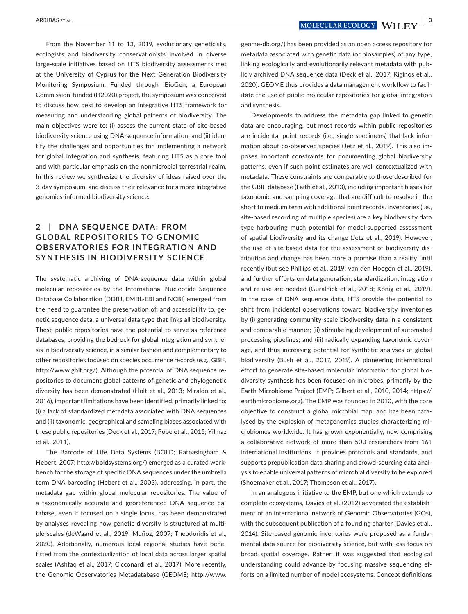**ARRIBAS ET AL.** *<b>NOLECULAR ECOLOGY -WILLEY* 

From the November 11 to 13, 2019, evolutionary geneticists, ecologists and biodiversity conservationists involved in diverse large-scale initiatives based on HTS biodiversity assessments met at the University of Cyprus for the Next Generation Biodiversity Monitoring Symposium. Funded through iBioGen, a European Commission-funded (H2020) project, the symposium was conceived to discuss how best to develop an integrative HTS framework for measuring and understanding global patterns of biodiversity. The main objectives were to: (i) assess the current state of site-based biodiversity science using DNA-sequence information; and (ii) identify the challenges and opportunities for implementing a network for global integration and synthesis, featuring HTS as a core tool and with particular emphasis on the nonmicrobial terrestrial realm. In this review we synthesize the diversity of ideas raised over the 3-day symposium, and discuss their relevance for a more integrative genomics-informed biodiversity science.

# **2**  | **DNA SEQUENCE DATA: FROM GLOBAL REPOSITORIES TO GENOMIC OBSERVATORIES FOR INTEGRATION AND SYNTHESIS IN BIODIVERSITY SCIENCE**

The systematic archiving of DNA-sequence data within global molecular repositories by the International Nucleotide Sequence Database Collaboration (DDBJ, EMBL-EBI and NCBI) emerged from the need to guarantee the preservation of, and accessibility to, genetic sequence data, a universal data type that links all biodiversity. These public repositories have the potential to serve as reference databases, providing the bedrock for global integration and synthesis in biodiversity science, in a similar fashion and complementary to other repositories focused on species occurrence records (e.g., GBIF, <http://www.gbif.org/>). Although the potential of DNA sequence repositories to document global patterns of genetic and phylogenetic diversity has been demonstrated (Holt et al., 2013; Miraldo et al., 2016), important limitations have been identified, primarily linked to: (i) a lack of standardized metadata associated with DNA sequences and (ii) taxonomic, geographical and sampling biases associated with these public repositories (Deck et al., 2017; Pope et al., 2015; Yilmaz et al., 2011).

The Barcode of Life Data Systems (BOLD; Ratnasingham & Hebert, 2007; [http://boldsystems.org/\)](http://boldsystems.org/) emerged as a curated workbench for the storage of specific DNA sequences under the umbrella term DNA barcoding (Hebert et al., 2003), addressing, in part, the metadata gap within global molecular repositories. The value of a taxonomically accurate and georeferenced DNA sequence database, even if focused on a single locus, has been demonstrated by analyses revealing how genetic diversity is structured at multiple scales (deWaard et al., 2019; Muñoz, 2007; Theodoridis et al., 2020). Additionally, numerous local–regional studies have benefitted from the contextualization of local data across larger spatial scales (Ashfaq et al., 2017; Cicconardi et al., 2017). More recently, the Genomic Observatories Metadatabase (GEOME; [http://www.](http://www.geome-db.org/)

[geome-db.org/](http://www.geome-db.org/)) has been provided as an open access repository for metadata associated with genetic data (or biosamples) of any type, linking ecologically and evolutionarily relevant metadata with publicly archived DNA sequence data (Deck et al., 2017; Riginos et al., 2020). GEOME thus provides a data management workflow to facilitate the use of public molecular repositories for global integration and synthesis.

Developments to address the metadata gap linked to genetic data are encouraging, but most records within public repositories are incidental point records (i.e., single specimens) that lack information about co-observed species (Jetz et al., 2019). This also imposes important constraints for documenting global biodiversity patterns, even if such point estimates are well contextualized with metadata. These constraints are comparable to those described for the GBIF database (Faith et al., 2013), including important biases for taxonomic and sampling coverage that are difficult to resolve in the short to medium term with additional point records. Inventories (i.e., site-based recording of multiple species) are a key biodiversity data type harbouring much potential for model-supported assessment of spatial biodiversity and its change (Jetz et al., 2019). However, the use of site-based data for the assessment of biodiversity distribution and change has been more a promise than a reality until recently (but see Phillips et al., 2019; van den Hoogen et al., 2019), and further efforts on data generation, standardization, integration and re-use are needed (Guralnick et al., 2018; König et al., 2019). In the case of DNA sequence data, HTS provide the potential to shift from incidental observations toward biodiversity inventories by (i) generating community-scale biodiversity data in a consistent and comparable manner; (ii) stimulating development of automated processing pipelines; and (iii) radically expanding taxonomic coverage, and thus increasing potential for synthetic analyses of global biodiversity (Bush et al., 2017, 2019). A pioneering international effort to generate site-based molecular information for global biodiversity synthesis has been focused on microbes, primarily by the Earth Microbiome Project (EMP; Gilbert et al., 2010, 2014; [https://](https://earthmicrobiome.org) [earthmicrobiome.org\)](https://earthmicrobiome.org). The EMP was founded in 2010, with the core objective to construct a global microbial map, and has been catalysed by the explosion of metagenomics studies characterizing microbiomes worldwide. It has grown exponentially, now comprising a collaborative network of more than 500 researchers from 161 international institutions. It provides protocols and standards, and supports prepublication data sharing and crowd-sourcing data analysis to enable universal patterns of microbial diversity to be explored (Shoemaker et al., 2017; Thompson et al., 2017).

In an analogous initiative to the EMP, but one which extends to complete ecosystems, Davies et al. (2012) advocated the establishment of an international network of Genomic Observatories (GOs), with the subsequent publication of a founding charter (Davies et al., 2014). Site-based genomic inventories were proposed as a fundamental data source for biodiversity science, but with less focus on broad spatial coverage. Rather, it was suggested that ecological understanding could advance by focusing massive sequencing efforts on a limited number of model ecosystems. Concept definitions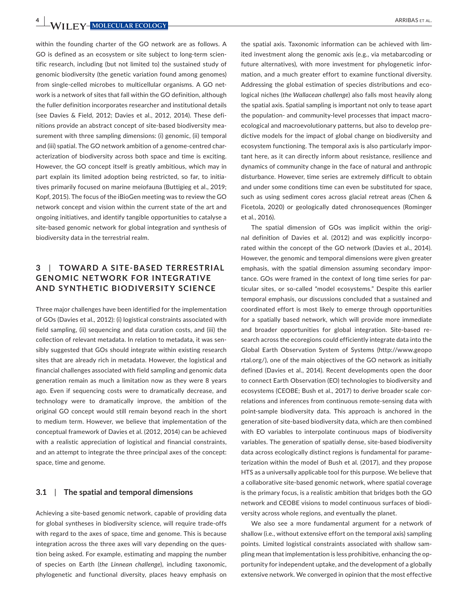**4 WII FY-MOLECULAR ECOLOGY** ARRIBAS ET AL.

within the founding charter of the GO network are as follows. A GO is defined as an ecosystem or site subject to long-term scientific research, including (but not limited to) the sustained study of genomic biodiversity (the genetic variation found among genomes) from single-celled microbes to multicellular organisms. A GO network is a network of sites that fall within the GO definition, although the fuller definition incorporates researcher and institutional details (see Davies & Field, 2012; Davies et al., 2012, 2014). These definitions provide an abstract concept of site-based biodiversity measurement with three sampling dimensions: (i) genomic, (ii) temporal and (iii) spatial. The GO network ambition of a genome-centred characterization of biodiversity across both space and time is exciting. However, the GO concept itself is greatly ambitious, which may in part explain its limited adoption being restricted, so far, to initiatives primarily focused on marine meiofauna (Buttigieg et al., 2019; Kopf, 2015). The focus of the iBioGen meeting was to review the GO network concept and vision within the current state of the art and ongoing initiatives, and identify tangible opportunities to catalyse a site-based genomic network for global integration and synthesis of biodiversity data in the terrestrial realm.

# **3**  | **TOWARD A SITE-BA SED TERRESTRIAL GENOMIC NET WORK FOR INTEGR ATIVE AND SYNTHETIC BIODIVERSITY SCIENCE**

Three major challenges have been identified for the implementation of GOs (Davies et al., 2012): (i) logistical constraints associated with field sampling, (ii) sequencing and data curation costs, and (iii) the collection of relevant metadata. In relation to metadata, it was sensibly suggested that GOs should integrate within existing research sites that are already rich in metadata. However, the logistical and financial challenges associated with field sampling and genomic data generation remain as much a limitation now as they were 8 years ago. Even if sequencing costs were to dramatically decrease, and technology were to dramatically improve, the ambition of the original GO concept would still remain beyond reach in the short to medium term. However, we believe that implementation of the conceptual framework of Davies et al. (2012, 2014) can be achieved with a realistic appreciation of logistical and financial constraints, and an attempt to integrate the three principal axes of the concept: space, time and genome.

### **3.1**  | **The spatial and temporal dimensions**

Achieving a site-based genomic network, capable of providing data for global syntheses in biodiversity science, will require trade-offs with regard to the axes of space, time and genome. This is because integration across the three axes will vary depending on the question being asked. For example, estimating and mapping the number of species on Earth (*the Linnean challenge*), including taxonomic, phylogenetic and functional diversity, places heavy emphasis on

the spatial axis. Taxonomic information can be achieved with limited investment along the genomic axis (e.g., via metabarcoding or future alternatives), with more investment for phylogenetic information, and a much greater effort to examine functional diversity. Addressing the global estimation of species distributions and ecological niches (*the Wallacean challenge*) also falls most heavily along the spatial axis. Spatial sampling is important not only to tease apart the population- and community-level processes that impact macroecological and macroevolutionary patterns, but also to develop predictive models for the impact of global change on biodiversity and ecosystem functioning. The temporal axis is also particularly important here, as it can directly inform about resistance, resilience and dynamics of community change in the face of natural and anthropic disturbance. However, time series are extremely difficult to obtain and under some conditions time can even be substituted for space, such as using sediment cores across glacial retreat areas (Chen & Ficetola, 2020) or geologically dated chronosequences (Rominger et al., 2016).

The spatial dimension of GOs was implicit within the original definition of Davies et al. (2012) and was explicitly incorporated within the concept of the GO network (Davies et al., 2014). However, the genomic and temporal dimensions were given greater emphasis, with the spatial dimension assuming secondary importance. GOs were framed in the context of long time series for particular sites, or so-called "model ecosystems." Despite this earlier temporal emphasis, our discussions concluded that a sustained and coordinated effort is most likely to emerge through opportunities for a spatially based network, which will provide more immediate and broader opportunities for global integration. Site-based research across the ecoregions could efficiently integrate data into the Global Earth Observation System of Systems [\(http://www.geopo](http://www.geoportal.org/) [rtal.org/](http://www.geoportal.org/)), one of the main objectives of the GO network as initially defined (Davies et al., 2014). Recent developments open the door to connect Earth Observation (EO) technologies to biodiversity and ecosystems (CEOBE; Bush et al., 2017) to derive broader scale correlations and inferences from continuous remote-sensing data with point-sample biodiversity data. This approach is anchored in the generation of site-based biodiversity data, which are then combined with EO variables to interpolate continuous maps of biodiversity variables. The generation of spatially dense, site-based biodiversity data across ecologically distinct regions is fundamental for parameterization within the model of Bush et al. (2017), and they propose HTS as a universally applicable tool for this purpose. We believe that a collaborative site-based genomic network, where spatial coverage is the primary focus, is a realistic ambition that bridges both the GO network and CEOBE visions to model continuous surfaces of biodiversity across whole regions, and eventually the planet.

We also see a more fundamental argument for a network of shallow (i.e., without extensive effort on the temporal axis) sampling points. Limited logistical constraints associated with shallow sampling mean that implementation is less prohibitive, enhancing the opportunity for independent uptake, and the development of a globally extensive network. We converged in opinion that the most effective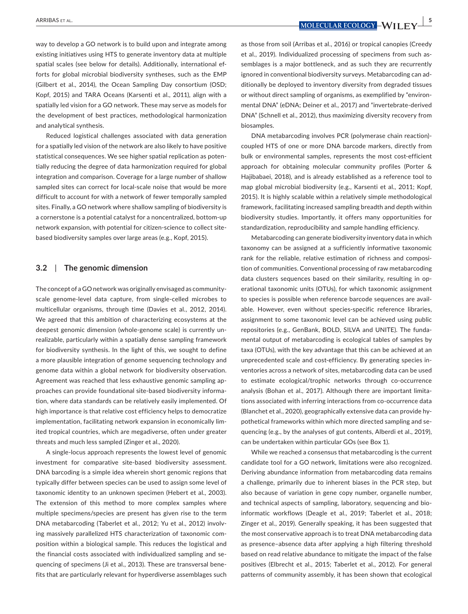**ARRIBAS ET AL. | 5 MOLECULAR ECOLOGY** \_ WILLEY

way to develop a GO network is to build upon and integrate among existing initiatives using HTS to generate inventory data at multiple spatial scales (see below for details). Additionally, international efforts for global microbial biodiversity syntheses, such as the EMP (Gilbert et al., 2014), the Ocean Sampling Day consortium (OSD; Kopf, 2015) and TARA Oceans (Karsenti et al., 2011), align with a spatially led vision for a GO network. These may serve as models for the development of best practices, methodological harmonization and analytical synthesis.

Reduced logistical challenges associated with data generation for a spatially led vision of the network are also likely to have positive statistical consequences. We see higher spatial replication as potentially reducing the degree of data harmonization required for global integration and comparison. Coverage for a large number of shallow sampled sites can correct for local-scale noise that would be more difficult to account for with a network of fewer temporally sampled sites. Finally, a GO network where shallow sampling of biodiversity is a cornerstone is a potential catalyst for a noncentralized, bottom-up network expansion, with potential for citizen-science to collect sitebased biodiversity samples over large areas (e.g., Kopf, 2015).

### **3.2**  | **The genomic dimension**

The concept of a GO network was originally envisaged as communityscale genome-level data capture, from single-celled microbes to multicellular organisms, through time (Davies et al., 2012, 2014). We agreed that this ambition of characterizing ecosystems at the deepest genomic dimension (whole-genome scale) is currently unrealizable, particularly within a spatially dense sampling framework for biodiversity synthesis. In the light of this, we sought to define a more plausible integration of genome sequencing technology and genome data within a global network for biodiversity observation. Agreement was reached that less exhaustive genomic sampling approaches can provide foundational site-based biodiversity information, where data standards can be relatively easily implemented. Of high importance is that relative cost efficiency helps to democratize implementation, facilitating network expansion in economically limited tropical countries, which are megadiverse, often under greater threats and much less sampled (Zinger et al., 2020).

A single-locus approach represents the lowest level of genomic investment for comparative site-based biodiversity assessment. DNA barcoding is a simple idea wherein short genomic regions that typically differ between species can be used to assign some level of taxonomic identity to an unknown specimen (Hebert et al., 2003). The extension of this method to more complex samples where multiple specimens/species are present has given rise to the term DNA metabarcoding (Taberlet et al., 2012; Yu et al., 2012) involving massively parallelized HTS characterization of taxonomic composition within a biological sample. This reduces the logistical and the financial costs associated with individualized sampling and sequencing of specimens (Ji et al., 2013). These are transversal benefits that are particularly relevant for hyperdiverse assemblages such

as those from soil (Arribas et al., 2016) or tropical canopies (Creedy et al., 2019). Individualized processing of specimens from such assemblages is a major bottleneck, and as such they are recurrently ignored in conventional biodiversity surveys. Metabarcoding can additionally be deployed to inventory diversity from degraded tissues or without direct sampling of organisms, as exemplified by "environmental DNA" (eDNA; Deiner et al., 2017) and "invertebrate-derived DNA" (Schnell et al., 2012), thus maximizing diversity recovery from biosamples.

DNA metabarcoding involves PCR (polymerase chain reaction) coupled HTS of one or more DNA barcode markers, directly from bulk or environmental samples, represents the most cost-efficient approach for obtaining molecular community profiles (Porter & Hajibabaei, 2018), and is already established as a reference tool to map global microbial biodiversity (e.g., Karsenti et al., 2011; Kopf, 2015). It is highly scalable within a relatively simple methodological framework, facilitating increased sampling breadth and depth within biodiversity studies. Importantly, it offers many opportunities for standardization, reproducibility and sample handling efficiency.

Metabarcoding can generate biodiversity inventory data in which taxonomy can be assigned at a sufficiently informative taxonomic rank for the reliable, relative estimation of richness and composition of communities. Conventional processing of raw metabarcoding data clusters sequences based on their similarity, resulting in operational taxonomic units (OTUs), for which taxonomic assignment to species is possible when reference barcode sequences are available. However, even without species-specific reference libraries, assignment to some taxonomic level can be achieved using public repositories (e.g., GenBank, BOLD, SILVA and UNITE). The fundamental output of metabarcoding is ecological tables of samples by taxa (OTUs), with the key advantage that this can be achieved at an unprecedented scale and cost-efficiency. By generating species inventories across a network of sites, metabarcoding data can be used to estimate ecological/trophic networks through co-occurrence analysis (Bohan et al., 2017). Although there are important limitations associated with inferring interactions from co-occurrence data (Blanchet et al., 2020), geographically extensive data can provide hypothetical frameworks within which more directed sampling and sequencing (e.g., by the analyses of gut contents, Alberdi et al., 2019), can be undertaken within particular GOs (see Box 1).

While we reached a consensus that metabarcoding is the current candidate tool for a GO network, limitations were also recognized. Deriving abundance information from metabarcoding data remains a challenge, primarily due to inherent biases in the PCR step, but also because of variation in gene copy number, organelle number, and technical aspects of sampling, laboratory, sequencing and bioinformatic workflows (Deagle et al., 2019; Taberlet et al., 2018; Zinger et al., 2019). Generally speaking, it has been suggested that the most conservative approach is to treat DNA metabarcoding data as presence–absence data after applying a high filtering threshold based on read relative abundance to mitigate the impact of the false positives (Elbrecht et al., 2015; Taberlet et al., 2012). For general patterns of community assembly, it has been shown that ecological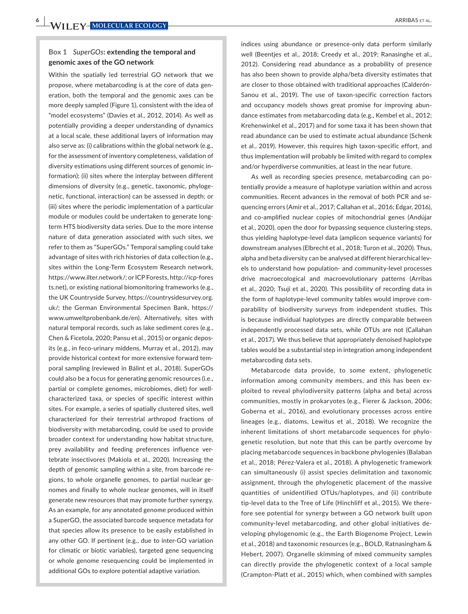Within the spatially led terrestrial GO network that we propose, where metabarcoding is at the core of data generation, both the temporal and the genomic axes can be more deeply sampled (Figure 1), consistent with the idea of "model ecosystems" (Davies et al., 2012, 2014). As well as potentially providing a deeper understanding of dynamics at a local scale, these additional layers of information may also serve as: (i) calibrations within the global network (e.g., for the assessment of inventory completeness, validation of diversity estimations using different sources of genomic information); (ii) sites where the interplay between different dimensions of diversity (e.g., genetic, taxonomic, phylogenetic, functional, interaction) can be assessed in depth; or (iii) sites where the periodic implementation of a particular module or modules could be undertaken to generate longterm HTS biodiversity data series. Due to the more intense nature of data generation associated with such sites, we refer to them as "SuperGOs." Temporal sampling could take advantage of sites with rich histories of data collection (e.g., sites within the Long-Term Ecosystem Research network, [https://www.ilter.network/;](https://www.ilter.network/) or ICP Forests, [http://icp-fores](http://icp-forests.net) [ts.net](http://icp-forests.net)), or existing national biomonitoring frameworks (e.g., the UK Countryside Survey, [https://countrysidesurvey.org.](https://countrysidesurvey.org.uk/) [uk/](https://countrysidesurvey.org.uk/); the German Environmental Specimen Bank, [https://](https://www.umweltprobenbank.de/en) [www.umweltprobenbank.de/en\)](https://www.umweltprobenbank.de/en). Alternatively, sites with natural temporal records, such as lake sediment cores (e.g., Chen & Ficetola, 2020; Pansu et al., 2015) or organic deposits (e.g., in feco-urinary middens, Murray et al., 2012), may provide historical context for more extensive forward temporal sampling (reviewed in Bálint et al., 2018). SuperGOs could also be a focus for generating genomic resources (i.e., partial or complete genomes, microbiomes, diet) for wellcharacterized taxa, or species of specific interest within sites. For example, a series of spatially clustered sites, well characterized for their terrestrial arthropod fractions of biodiversity with metabarcoding, could be used to provide broader context for understanding how habitat structure, prey availability and feeding preferences influence vertebrate insectivores (Makiola et al., 2020). Increasing the depth of genomic sampling within a site, from barcode regions, to whole organelle genomes, to partial nuclear genomes and finally to whole nuclear genomes, will in itself generate new resources that may promote further synergy. As an example, for any annotated genome produced within a SuperGO, the associated barcode sequence metadata for that species allow its presence to be easily established in any other GO. If pertinent (e.g., due to inter-GO variation for climatic or biotic variables), targeted gene sequencing or whole genome resequencing could be implemented in additional GOs to explore potential adaptive variation.

indices using abundance or presence-only data perform similarly well (Beentjes et al., 2018; Creedy et al., 2019; Ranasinghe et al., 2012). Considering read abundance as a probability of presence has also been shown to provide alpha/beta diversity estimates that are closer to those obtained with traditional approaches (Calderón-Sanou et al., 2019). The use of taxon-specific correction factors and occupancy models shows great promise for improving abundance estimates from metabarcoding data (e.g., Kembel et al., 2012; Krehenwinkel et al., 2017) and for some taxa it has been shown that read abundance can be used to estimate actual abundance (Schenk et al., 2019). However, this requires high taxon-specific effort, and thus implementation will probably be limited with regard to complex and/or hyperdiverse communities, at least in the near future.

As well as recording species presence, metabarcoding can potentially provide a measure of haplotype variation within and across communities. Recent advances in the removal of both PCR and sequencing errors (Amir et al., 2017; Callahan et al., 2016; Edgar, 2016), and co-amplified nuclear copies of mitochondrial genes (Andújar et al., 2020), open the door for bypassing sequence clustering steps, thus yielding haplotype-level data (amplicon sequence variants) for downstream analyses (Elbrecht et al., 2018; Turon et al., 2020). Thus, alpha and beta diversity can be analysed at different hierarchical levels to understand how population- and community-level processes drive macroecological and macroevolutionary patterns (Arribas et al., 2020; Tsuji et al., 2020). This possibility of recording data in the form of haplotype-level community tables would improve comparability of biodiversity surveys from independent studies. This is because individual haplotypes are directly comparable between independently processed data sets, while OTUs are not (Callahan et al., 2017). We thus believe that appropriately denoised haplotype tables would be a substantial step in integration among independent metabarcoding data sets.

Metabarcode data provide, to some extent, phylogenetic information among community members, and this has been exploited to reveal phylodiversity patterns (alpha and beta) across communities, mostly in prokaryotes (e.g., Fierer & Jackson, 2006; Goberna et al., 2016), and evolutionary processes across entire lineages (e.g., diatoms, Lewitus et al., 2018). We recognize the inherent limitations of short metabarcode sequences for phylogenetic resolution, but note that this can be partly overcome by placing metabarcode sequences in backbone phylogenies (Balaban et al., 2018; Pérez-Valera et al., 2018). A phylogenetic framework can simultaneously (i) assist species delimitation and taxonomic assignment, through the phylogenetic placement of the massive quantities of unidentified OTUs/haplotypes, and (ii) contribute tip-level data to the Tree of Life (Hinchliff et al., 2015). We therefore see potential for synergy between a GO network built upon community-level metabarcoding, and other global initiatives developing phylogenomic (e.g., the Earth Biogenome Project, Lewin et al., 2018) and taxonomic resources (e.g., BOLD, Ratnasingham & Hebert, 2007). Organelle skimming of mixed community samples can directly provide the phylogenetic context of a local sample (Crampton-Platt et al., 2015) which, when combined with samples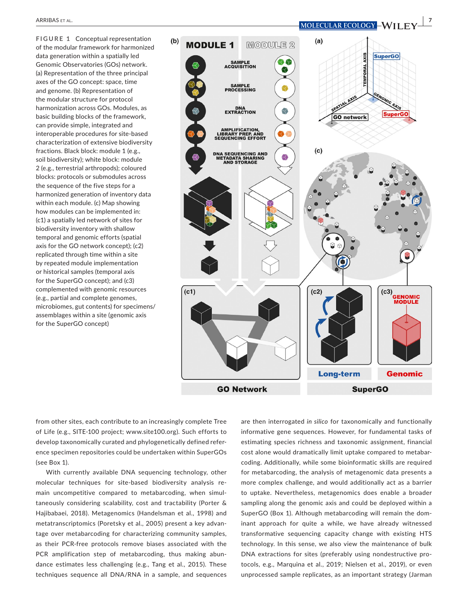**FIGURE 1** Conceptual representation  $(b)$  $(a)$ **MODULE 1**  $M$  ( $O$   $D$   $U$   $H$   $E$   $2$ of the modular framework for harmonized **SuperGO** data generation within a spatially led **AXIS SAMPLE**<br>ACQUISITION Genomic Observatories (GOs) network. **TEMPORAL** (a) Representation of the three principal axes of the GO concept: space, time **SAMPLE<br>PROCESSING** and genome. (b) Representation of the modular structure for protocol **AXIS** harmonization across GOs. Modules, as DNA<br>EXTRACTION Q **SuperGO** basic building blocks of the framework, **GO** network can provide simple, integrated and **AMPLIFICATION,<br>LIBRARY PREP. AND<br>SEQUENCING EFFORT** interoperable procedures for site-based characterization of extensive biodiversity  $(c)$ fractions. Black block: module 1 (e.g., **DNA SEQUENCING AND<br>METADATA SHARING<br>AND STORAGE** soil biodiversity); white block: module 2 (e.g., terrestrial arthropods); coloured blocks: protocols or submodules across the sequence of the five steps for a harmonized generation of inventory data within each module. (c) Map showing how modules can be implemented in: (c1) a spatially led network of sites for biodiversity inventory with shallow temporal and genomic efforts (spatial axis for the GO network concept); (c2) replicated through time within a site by repeated module implementation or historical samples (temporal axis for the SuperGO concept); and (c3) complemented with genomic resources  $(c1)$  $(c2)$  $(c3)$ **GENOMIC**<br>**MODULE** (e.g., partial and complete genomes, microbiomes, gut contents) for specimens/ assemblages within a site (genomic axis for the SuperGO concept)**Long-term Genomic** 

**GO Network** 

**SuperGO** 

from other sites, each contribute to an increasingly complete Tree of Life (e.g., SITE-100 project; [www.site100.org\)](http://www.site100.org). Such efforts to develop taxonomically curated and phylogenetically defined reference specimen repositories could be undertaken within SuperGOs (see Box 1).

With currently available DNA sequencing technology, other molecular techniques for site-based biodiversity analysis remain uncompetitive compared to metabarcoding, when simultaneously considering scalability, cost and tractability (Porter & Hajibabaei, 2018). Metagenomics (Handelsman et al., 1998) and metatranscriptomics (Poretsky et al., 2005) present a key advantage over metabarcoding for characterizing community samples, as their PCR-free protocols remove biases associated with the PCR amplification step of metabarcoding, thus making abundance estimates less challenging (e.g., Tang et al., 2015). These techniques sequence all DNA/RNA in a sample, and sequences are then interrogated *in silico* for taxonomically and functionally informative gene sequences. However, for fundamental tasks of estimating species richness and taxonomic assignment, financial cost alone would dramatically limit uptake compared to metabarcoding. Additionally, while some bioinformatic skills are required for metabarcoding, the analysis of metagenomic data presents a more complex challenge, and would additionally act as a barrier to uptake. Nevertheless, metagenomics does enable a broader sampling along the genomic axis and could be deployed within a SuperGO (Box 1). Although metabarcoding will remain the dominant approach for quite a while, we have already witnessed transformative sequencing capacity change with existing HTS technology. In this sense, we also view the maintenance of bulk DNA extractions for sites (preferably using nondestructive protocols, e.g., Marquina et al., 2019; Nielsen et al., 2019), or even unprocessed sample replicates, as an important strategy (Jarman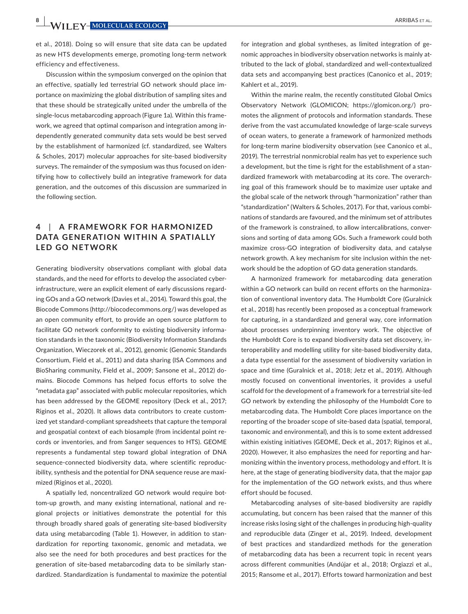**8 <sup>|</sup>**  ARRIBAS et al.

et al., 2018). Doing so will ensure that site data can be updated as new HTS developments emerge, promoting long-term network efficiency and effectiveness.

Discussion within the symposium converged on the opinion that an effective, spatially led terrestrial GO network should place importance on maximizing the global distribution of sampling sites and that these should be strategically united under the umbrella of the single-locus metabarcoding approach (Figure 1a). Within this framework, we agreed that optimal comparison and integration among independently generated community data sets would be best served by the establishment of harmonized (cf. standardized, see Walters & Scholes, 2017) molecular approaches for site-based biodiversity surveys. The remainder of the symposium was thus focused on identifying how to collectively build an integrative framework for data generation, and the outcomes of this discussion are summarized in the following section.

## **4**  | **A FR AMEWORK FOR HARMONIZED DATA GENER ATION WITHIN A SPATIALLY LED GO NETWORK**

Generating biodiversity observations compliant with global data standards, and the need for efforts to develop the associated cyberinfrastructure, were an explicit element of early discussions regarding GOs and a GO network (Davies et al., 2014). Toward this goal, the Biocode Commons (<http://biocodecommons.org/>) was developed as an open community effort, to provide an open source platform to facilitate GO network conformity to existing biodiversity information standards in the taxonomic (Biodiversity Information Standards Organization, Wieczorek et al., 2012), genomic (Genomic Standards Consortium, Field et al., 2011) and data sharing (ISA Commons and BioSharing community, Field et al., 2009; Sansone et al., 2012) domains. Biocode Commons has helped focus efforts to solve the "metadata gap" associated with public molecular repositories, which has been addressed by the GEOME repository (Deck et al., 2017; Riginos et al., 2020). It allows data contributors to create customized yet standard-compliant spreadsheets that capture the temporal and geospatial context of each biosample (from incidental point records or inventories, and from Sanger sequences to HTS). GEOME represents a fundamental step toward global integration of DNA sequence-connected biodiversity data, where scientific reproducibility, synthesis and the potential for DNA sequence reuse are maximized (Riginos et al., 2020).

A spatially led, noncentralized GO network would require bottom-up growth, and many existing international, national and regional projects or initiatives demonstrate the potential for this through broadly shared goals of generating site-based biodiversity data using metabarcoding (Table 1). However, in addition to standardization for reporting taxonomic, genomic and metadata, we also see the need for both procedures and best practices for the generation of site-based metabarcoding data to be similarly standardized. Standardization is fundamental to maximize the potential

for integration and global syntheses, as limited integration of genomic approaches in biodiversity observation networks is mainly attributed to the lack of global, standardized and well-contextualized data sets and accompanying best practices (Canonico et al., 2019; Kahlert et al., 2019).

Within the marine realm, the recently constituted Global Omics Observatory Network (GLOMICON; [https://glomicon.org/\)](https://glomicon.org/) promotes the alignment of protocols and information standards. These derive from the vast accumulated knowledge of large-scale surveys of ocean waters, to generate a framework of harmonized methods for long-term marine biodiversity observation (see Canonico et al., 2019). The terrestrial nonmicrobial realm has yet to experience such a development, but the time is right for the establishment of a standardized framework with metabarcoding at its core. The overarching goal of this framework should be to maximize user uptake and the global scale of the network through "harmonization" rather than "standardization" (Walters & Scholes, 2017). For that, various combinations of standards are favoured, and the minimum set of attributes of the framework is constrained, to allow intercalibrations, conversions and sorting of data among GOs. Such a framework could both maximize cross-GO integration of biodiversity data, and catalyse network growth. A key mechanism for site inclusion within the network should be the adoption of GO data generation standards.

A harmonized framework for metabarcoding data generation within a GO network can build on recent efforts on the harmonization of conventional inventory data. The Humboldt Core (Guralnick et al., 2018) has recently been proposed as a conceptual framework for capturing, in a standardized and general way, core information about processes underpinning inventory work. The objective of the Humboldt Core is to expand biodiversity data set discovery, interoperability and modelling utility for site-based biodiversity data, a data type essential for the assessment of biodiversity variation in space and time (Guralnick et al., 2018; Jetz et al., 2019). Although mostly focused on conventional inventories, it provides a useful scaffold for the development of a framework for a terrestrial site-led GO network by extending the philosophy of the Humboldt Core to metabarcoding data. The Humboldt Core places importance on the reporting of the broader scope of site-based data (spatial, temporal, taxonomic and environmental), and this is to some extent addressed within existing initiatives (GEOME, Deck et al., 2017; Riginos et al., 2020). However, it also emphasizes the need for reporting and harmonizing within the inventory process, methodology and effort. It is here, at the stage of generating biodiversity data, that the major gap for the implementation of the GO network exists, and thus where effort should be focused.

Metabarcoding analyses of site-based biodiversity are rapidly accumulating, but concern has been raised that the manner of this increase risks losing sight of the challenges in producing high-quality and reproducible data (Zinger et al., 2019). Indeed, development of best practices and standardized methods for the generation of metabarcoding data has been a recurrent topic in recent years across different communities (Andújar et al., 2018; Orgiazzi et al., 2015; Ransome et al., 2017). Efforts toward harmonization and best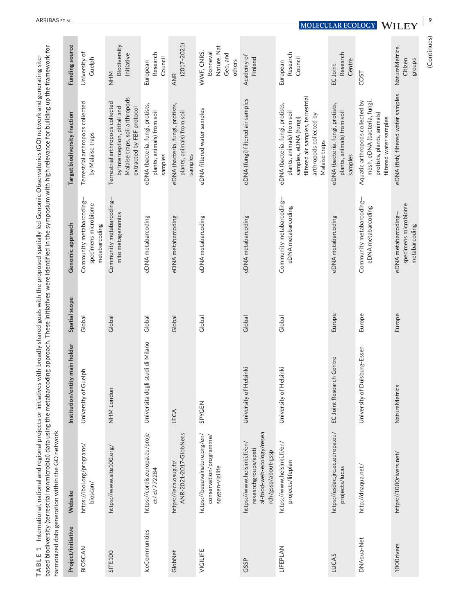|                                                 | č<br>١                                                    |                                |
|-------------------------------------------------|-----------------------------------------------------------|--------------------------------|
| id gener                                        | ling up the frame                                         |                                |
| Julietwork and<br>うりっこう<br>اصد (1,7)<br>is<br>S | e symposium with high relevance for buildi                |                                |
| hea<br>Pomic Obs.                               |                                                           |                                |
| ח ו-<br>)<br>ג<br>d                             |                                                           |                                |
| )<br>)<br>)                                     | $-11$ n the<br>100111                                     |                                |
| uth the r<br>≅<br>ared goal                     | nese initiatives were                                     |                                |
| )<br>)<br>)<br>reunu u                          | ۔<br>ج                                                    |                                |
| TIVES WITH                                      | j<br>C<br>C<br>S<br>C<br>S<br>ţ                           |                                |
| id regional projects or                         |                                                           | č<br>SIN                       |
|                                                 | diversity (terrestrial nonmicrobial) data using the metar | generation within the GO netwo |
| l, national and<br>nternational.                |                                                           |                                |
| <b>CABLE</b>                                    | ihoid hindi<br>$\frac{1}{2}$                              | et mondo<br>.<br>ত<br>j        |
|                                                 | j                                                         |                                |

| Project/initiative | Website                                                                                                 | Institution/entity main holder   | Spatial scope | Genomic approach                                                  | Target biodiversity fraction                                                                                                                                             | Funding source                                                     |
|--------------------|---------------------------------------------------------------------------------------------------------|----------------------------------|---------------|-------------------------------------------------------------------|--------------------------------------------------------------------------------------------------------------------------------------------------------------------------|--------------------------------------------------------------------|
| BIOSCAN            | https://ibol.org/programs/<br>bioscan/                                                                  | University of Guelph             | Global        | Community metabarcoding-<br>specimens microbiome<br>metabarcoding | Terrestrial arthropods collected<br>by Malaise traps                                                                                                                     | University of<br>Guelph                                            |
| SITE100            | https://www.site100.org/                                                                                | NHM London                       | Global        | Community metabarcoding-<br>mito metagenomics                     | Malaise traps, soil arthropods<br>Terrestrial arthropods collected<br>extracted by FBF protocol<br>by interception, pitfall and                                          | Biodiversity<br>Initiative<br>MHM                                  |
| lceCommunities     | https://cordis.europa.eu/proje<br>ct/id/772284                                                          | Universita degli studi di Milano | Global        | eDNA metabarcoding                                                | eDNA (bacteria, fungi, protists,<br>plants, animals) from soil<br>samples                                                                                                | Research<br>Council<br>European                                    |
| GlobNet            | ANR-2021-2017-GlobNets<br>https://leca.osug.fr/                                                         | LECA                             | Global        | eDNA metabarcoding                                                | eDNA (bacteria, fungi, protists,<br>plants, animals) from soil<br>samples                                                                                                | $(2017 - 2021)$<br>ANR                                             |
| VIGILIFE           | https://beauvalnature.org/en/<br>conservation/programme/<br>spygen-vigilife                             | SPYGEN                           | Global        | eDNA metabarcoding                                                | eDNA filtered water samples                                                                                                                                              | Nature, Nat<br>WWF, CNRS,<br><b>Bonneval</b><br>Geo, and<br>others |
| GSSP               | al-food-web-ecology/resea<br>https://www.helsinki.fi/en/<br>researchgroups/spati<br>rch/gssp/about-gssp | University of Helsinki           | Global        | eDNA metabarcoding                                                | eDNA (fungi) filtered air samples                                                                                                                                        | Academy of<br>Finland                                              |
| LIFEPLAN           | https://www.helsinki.fi/en/<br>projects/lifeplan                                                        | University of Helsinki           | Global        | Community metabarcoding-<br>eDNA metabarcoding                    | filtered air samples, terrestrial<br>eDNA (bacteria, fungi, protists,<br>plants, animals) from soil<br>arthropods collected by<br>samples, eDNA (fungi)<br>Malaise traps | Research<br>Council<br>European                                    |
| LUCAS              | https://esdac.jrc.ec.europa.eu/<br>projects/lucas                                                       | EC Joint Research Centre         | Europe        | eDNA metabarcoding                                                | eDNA (bacteria, fungi, protists,<br>plants, animals) from soil<br>samples                                                                                                | Research<br>Centre<br>EC Joint                                     |
| DNAqua-Net         | http://dnaqua.net/                                                                                      | University of Duisburg-Essen     | Europe        | Community metabarcoding-<br>eDNA metabarcoding                    | mesh, eDNA (bacteria, fungi,<br>Aquatic arthropods collected by<br>protists, plants, animals)<br>filtered water samples                                                  | COST                                                               |
| 1000 rivers        | https://1000rivers.net/                                                                                 | NatureMetrics                    | Europe        | specimens microbiome<br>eDNA metabarcoding-<br>metabarcoding      | eDNA (fish) filtered water samples                                                                                                                                       | NatureMetrics,<br>groups<br>Citizen                                |
|                    |                                                                                                         |                                  |               |                                                                   |                                                                                                                                                                          | (Continues)                                                        |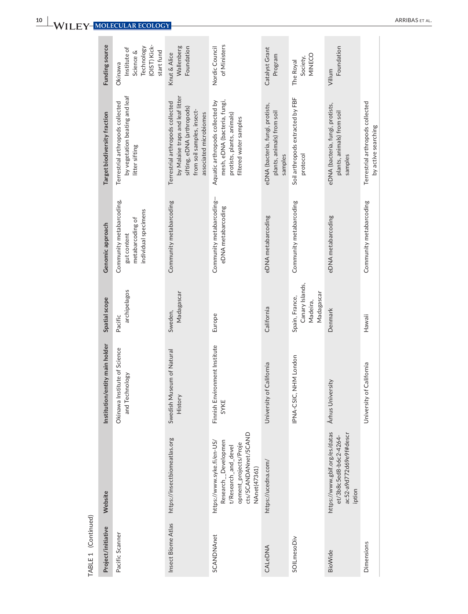| Funding source                 | (OIST) Kick-<br>Technology<br>Institute of<br>start fund<br>Science &<br>Okinawa     | Wallenberg<br>Foundation<br>Knut & Alice                                                                                                                   | of Ministers<br>Nordic Council                                                                                                             | Catalyst Grant<br>Program                                                 | MINECO<br>Society,<br>The Royal                             | Foundation<br>Villum                                           |                                   |
|--------------------------------|--------------------------------------------------------------------------------------|------------------------------------------------------------------------------------------------------------------------------------------------------------|--------------------------------------------------------------------------------------------------------------------------------------------|---------------------------------------------------------------------------|-------------------------------------------------------------|----------------------------------------------------------------|-----------------------------------|
| Target biodiversity fraction   | by vegetation beating and leaf<br>Terrestrial arthropods collected<br>litter sifting | by Malaise traps and leaf litter<br>Terrestrial arthropods collected<br>sifting, eDNA (arthropods)<br>from soil samples, insect-<br>associated microbiomes | mesh, eDNA (bacteria, fungi,<br>Aquatic arthropods collected by<br>protists, plants, animals)<br>filtered water samples                    | eDNA (bacteria, fungi, protists,<br>plants, animals) from soil<br>samples | Soil arthropods extracted by FBF<br>protocol                | eDNA (bacteria, fungi, protists,<br>plants, animals) from soil | samples                           |
| Genomic approach               | Community metabarcoding,<br>individual specimens<br>metabarcoding of<br>gut content  | Community metabarcoding                                                                                                                                    | Community metabarcoding-<br>eDNA metabarcoding                                                                                             | eDNA metabarcoding                                                        | Community metabarcoding                                     | eDNA metabarcoding                                             |                                   |
| Spatial scope                  | archipelagos<br>Pacific                                                              | Madagascar<br>Sweden,                                                                                                                                      | Europe                                                                                                                                     | California                                                                | Canary Islands,<br>Madagascar<br>Spain, France,<br>Madeira, | Denmark                                                        |                                   |
| Institution/entity main holder | Okinawa Institute of Science<br>and Technology                                       | Swedish Museum of Natural<br>History                                                                                                                       | Finnish Environment Institute<br>SYKE                                                                                                      | University of California                                                  | NHM London<br>IPNA-CSIC,                                    | Århus University                                               |                                   |
| Website                        |                                                                                      | https://insectbiomeatlas.org                                                                                                                               | cts/SCANDANnet/SCAND<br>https://www.syke.fi/en-US/<br>Research_Developmen<br>opment_projects/Proje<br>t/Research_and_devel<br>NAnet(47361) | https://ucedna.com/                                                       |                                                             | https://www.gbif.org/es/datas<br>et/3b8c5ed8-b6c2-4264-        | ac52-a9d772d69e9f#descr<br>iption |
| Project/initiative             | Pacific Scanner                                                                      | Insect Biome Atlas                                                                                                                                         | <b>SCANDNAnet</b>                                                                                                                          | CALeDNA                                                                   | SOILmesoDiv                                                 | BioWide                                                        |                                   |

TABLE 1 (Continued) TABLE 1 (Continued)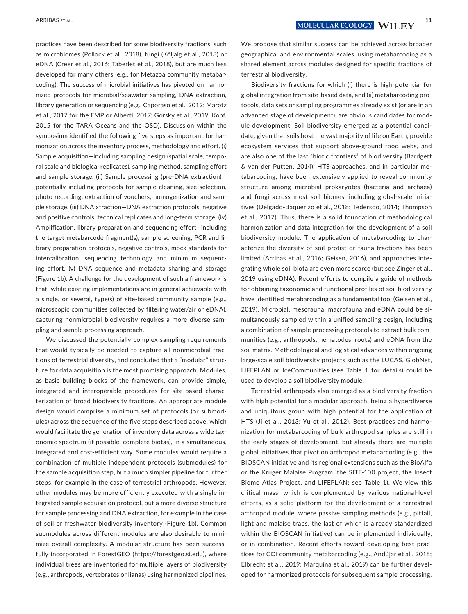practices have been described for some biodiversity fractions, such as microbiomes (Pollock et al., 2018), fungi (Kõljalg et al., 2013) or eDNA (Creer et al., 2016; Taberlet et al., 2018), but are much less developed for many others (e.g., for Metazoa community metabarcoding). The success of microbial initiatives has pivoted on harmonized protocols for microbial/seawater sampling, DNA extraction, library generation or sequencing (e.g., Caporaso et al., 2012; Marotz et al., 2017 for the EMP or Alberti, 2017; Gorsky et al., 2019; Kopf, 2015 for the TARA Oceans and the OSD). Discussion within the symposium identified the following five steps as important for harmonization across the inventory process, methodology and effort. (i) Sample acquisition—including sampling design (spatial scale, temporal scale and biological replicates), sampling method, sampling effort and sample storage. (ii) Sample processing (pre-DNA extraction) potentially including protocols for sample cleaning, size selection, photo recording, extraction of vouchers, homogenization and sample storage. (iii) DNA xtraction—DNA extraction protocols, negative and positive controls, technical replicates and long-term storage. (iv) Amplification, library preparation and sequencing effort—including the target metabarcode fragment(s), sample screening, PCR and library preparation protocols, negative controls, mock standards for intercalibration, sequencing technology and minimum sequencing effort. (v) DNA sequence and metadata sharing and storage (Figure 1b). A challenge for the development of such a framework is that, while existing implementations are in general achievable with a single, or several, type(s) of site-based community sample (e.g., microscopic communities collected by filtering water/air or eDNA), capturing nonmicrobial biodiversity requires a more diverse sampling and sample processing approach.

We discussed the potentially complex sampling requirements that would typically be needed to capture all nonmicrobial fractions of terrestrial diversity, and concluded that a "modular" structure for data acquisition is the most promising approach. Modules, as basic building blocks of the framework, can provide simple, integrated and interoperable procedures for site-based characterization of broad biodiversity fractions. An appropriate module design would comprise a minimum set of protocols (or submodules) across the sequence of the five steps described above, which would facilitate the generation of inventory data across a wide taxonomic spectrum (if possible, complete biotas), in a simultaneous, integrated and cost-efficient way. Some modules would require a combination of multiple independent protocols (submodules) for the sample acquisition step, but a much simpler pipeline for further steps, for example in the case of terrestrial arthropods. However, other modules may be more efficiently executed with a single integrated sample acquisition protocol, but a more diverse structure for sample processing and DNA extraction, for example in the case of soil or freshwater biodiversity inventory (Figure 1b). Common submodules across different modules are also desirable to minimize overall complexity. A modular structure has been successfully incorporated in ForestGEO (<https://forestgeo.si.edu>), where individual trees are inventoried for multiple layers of biodiversity (e.g., arthropods, vertebrates or lianas) using harmonized pipelines.

We propose that similar success can be achieved across broader geographical and environmental scales, using metabarcoding as a shared element across modules designed for specific fractions of terrestrial biodiversity.

Biodiversity fractions for which (i) there is high potential for global integration from site-based data, and (ii) metabarcoding protocols, data sets or sampling programmes already exist (or are in an advanced stage of development), are obvious candidates for module development. Soil biodiversity emerged as a potential candidate, given that soils host the vast majority of life on Earth, provide ecosystem services that support above-ground food webs, and are also one of the last "biotic frontiers" of biodiversity (Bardgett & van der Putten, 2014). HTS approaches, and in particular metabarcoding, have been extensively applied to reveal community structure among microbial prokaryotes (bacteria and archaea) and fungi across most soil biomes, including global-scale initiatives (Delgado-Baquerizo et al., 2018; Tedersoo, 2014; Thompson et al., 2017). Thus, there is a solid foundation of methodological harmonization and data integration for the development of a soil biodiversity module. The application of metabarcoding to characterize the diversity of soil protist or fauna fractions has been limited (Arribas et al., 2016; Geisen, 2016), and approaches integrating whole soil biota are even more scarce (but see Zinger et al., 2019 using eDNA). Recent efforts to compile a guide of methods for obtaining taxonomic and functional profiles of soil biodiversity have identified metabarcoding as a fundamental tool (Geisen et al., 2019). Microbial, mesofauna, macrofauna and eDNA could be simultaneously sampled within a unified sampling design, including a combination of sample processing protocols to extract bulk communities (e.g., arthropods, nematodes, roots) and eDNA from the soil matrix. Methodological and logistical advances within ongoing large-scale soil biodiversity projects such as the LUCAS, GlobNet, LIFEPLAN or IceCommunities (see Table 1 for details) could be used to develop a soil biodiversity module.

Terrestrial arthropods also emerged as a biodiversity fraction with high potential for a modular approach, being a hyperdiverse and ubiquitous group with high potential for the application of HTS (Ji et al., 2013; Yu et al., 2012). Best practices and harmonization for metabarcoding of bulk arthropod samples are still in the early stages of development, but already there are multiple global initiatives that pivot on arthropod metabarcoding (e.g., the BIOSCAN initiative and its regional extensions such as the BioAlfa or the Kruger Malaise Program, the SITE-100 project, the Insect Biome Atlas Project, and LIFEPLAN; see Table 1). We view this critical mass, which is complemented by various national-level efforts, as a solid platform for the development of a terrestrial arthropod module, where passive sampling methods (e.g., pitfall, light and malaise traps, the last of which is already standardized within the BIOSCAN initiative) can be implemented individually, or in combination. Recent efforts toward developing best practices for COI community metabarcoding (e.g., Andújar et al., 2018; Elbrecht et al., 2019; Marquina et al., 2019) can be further developed for harmonized protocols for subsequent sample processing.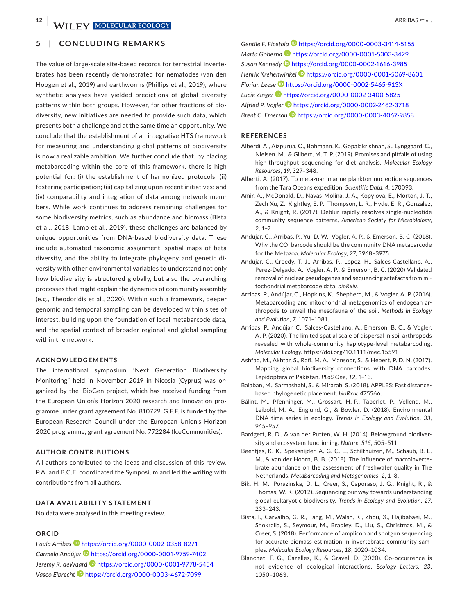## **5**  | **CONCLUDING REMARKS**

The value of large-scale site-based records for terrestrial invertebrates has been recently demonstrated for nematodes (van den Hoogen et al., 2019) and earthworms (Phillips et al., 2019), where synthetic analyses have yielded predictions of global diversity patterns within both groups. However, for other fractions of biodiversity, new initiatives are needed to provide such data, which presents both a challenge and at the same time an opportunity. We conclude that the establishment of an integrative HTS framework for measuring and understanding global patterns of biodiversity is now a realizable ambition. We further conclude that, by placing metabarcoding within the core of this framework, there is high potential for: (i) the establishment of harmonized protocols; (ii) fostering participation; (iii) capitalizing upon recent initiatives; and (iv) comparability and integration of data among network members. While work continues to address remaining challenges for some biodiversity metrics, such as abundance and biomass (Bista et al., 2018; Lamb et al., 2019), these challenges are balanced by unique opportunities from DNA-based biodiversity data. These include automated taxonomic assignment, spatial maps of beta diversity, and the ability to integrate phylogeny and genetic diversity with other environmental variables to understand not only how biodiversity is structured globally, but also the overarching processes that might explain the dynamics of community assembly (e.g., Theodoridis et al., 2020). Within such a framework, deeper genomic and temporal sampling can be developed within sites of interest, building upon the foundation of local metabarcode data, and the spatial context of broader regional and global sampling within the network.

#### **ACKNOWLEDGEMENTS**

The international symposium "Next Generation Biodiversity Monitoring" held in November 2019 in Nicosia (Cyprus) was organized by the iBioGen project, which has received funding from the European Union's Horizon 2020 research and innovation programme under grant agreement No. 810729. G.F.F. is funded by the European Research Council under the European Union's Horizon 2020 programme, grant agreement No. 772284 (IceCommunities).

#### **AUTHOR CONTRIBUTIONS**

All authors contributed to the ideas and discussion of this review. P.A. and B.C.E. coordinated the Symposium and led the writing with contributions from all authors.

## **DATA AVAILABILITY STATEMENT**

No data were analysed in this meeting review.

#### **ORCID**

*Paula Arribas* <https://orcid.org/0000-0002-0358-8271> *Carmelo Andúja[r](https://orcid.org/0000-0001-9759-7402)* <https://orcid.org/0000-0001-9759-7402> *Jeremy R. deWaar[d](https://orcid.org/0000-0001-9778-5454)* <https://orcid.org/0000-0001-9778-5454> *Vasco Elbrecht* <https://orcid.org/0000-0003-4672-7099>

*Gentile F. Ficetola* <https://orcid.org/0000-0003-3414-5155> *Marta Gobern[a](https://orcid.org/0000-0001-5303-3429)* <https://orcid.org/0000-0001-5303-3429> *Susan Kennedy* <https://orcid.org/0000-0002-1616-3985> *Henrik Krehenwinkel* <https://orcid.org/0000-0001-5069-8601> *Florian Lees[e](https://orcid.org/0000-0002-5465-913X)* <https://orcid.org/0000-0002-5465-913X> *Lucie Zinger* <https://orcid.org/0000-0002-3400-5825> *Alfried P. Vogler* <https://orcid.org/0000-0002-2462-3718>

*Brent C. Emerson* <https://orcid.org/0000-0003-4067-9858>

#### **REFERENCES**

- Alberdi, A., Aizpurua, O., Bohmann, K., Gopalakrishnan, S., Lynggaard, C., Nielsen, M., & Gilbert, M. T. P. (2019). Promises and pitfalls of using high-throughput sequencing for diet analysis. *Molecular Ecology Resources*, *19*, 327–348.
- Alberti, A. (2017). To metazoan marine plankton nucleotide sequences from the Tara Oceans expedition. *Scientific Data*, *4*, 170093.
- Amir, A., McDonald, D., Navas-Molina, J. A., Kopylova, E., Morton, J. T., Zech Xu, Z., Kightley, E. P., Thompson, L. R., Hyde, E. R., Gonzalez, A., & Knight, R. (2017). Deblur rapidly resolves single-nucleotide community sequence patterns. *American Society for Microbiology*, *2*, 1–7.
- Andújar, C., Arribas, P., Yu, D. W., Vogler, A. P., & Emerson, B. C. (2018). Why the COI barcode should be the community DNA metabarcode for the Metazoa. *Molecular Ecology*, *27*, 3968–3975.
- Andújar, C., Creedy, T. J., Arribas, P., Lopez, H., Salces-Castellano, A., Perez-Delgado, A., Vogler, A. P., & Emerson, B. C. (2020) Validated removal of nuclear pseudogenes and sequencing artefacts from mitochondrial metabarcode data. *bioRxiv*.
- Arribas, P., Andújar, C., Hopkins, K., Shepherd, M., & Vogler, A. P. (2016). Metabarcoding and mitochondrial metagenomics of endogean arthropods to unveil the mesofauna of the soil. *Methods in Ecology and Evolution*, *7*, 1071–1081.
- Arribas, P., Andújar, C., Salces-Castellano, A., Emerson, B. C., & Vogler, A. P. (2020). The limited spatial scale of dispersal in soil arthropods revealed with whole-community haplotype-level metabarcoding. *Molecular Ecology*. <https://doi.org/10.1111/mec.15591>
- Ashfaq, M., Akhtar, S., Rafi, M. A., Mansoor, S., & Hebert, P. D. N. (2017). Mapping global biodiversity connections with DNA barcodes: Lepidoptera of Pakistan. *PLoS One*, *12*, 1–13.
- Balaban, M., Sarmashghi, S., & Mirarab, S. (2018). APPLES: Fast distancebased phylogenetic placement. *bioRxiv*, 475566.
- Bálint, M., Pfenninger, M., Grossart, H.-P., Taberlet, P., Vellend, M., Leibold, M. A., Englund, G., & Bowler, D. (2018). Environmental DNA time series in ecology. *Trends in Ecology and Evolution*, *33*, 945–957.
- Bardgett, R. D., & van der Putten, W. H. (2014). Belowground biodiversity and ecosystem functioning. *Nature*, *515*, 505–511.
- Beentjes, K. K., Speksnijder, A. G. C. L., Schilthuizen, M., Schaub, B. E. M., & van der Hoorn, B. B. (2018). The influence of macroinvertebrate abundance on the assessment of freshwater quality in The Netherlands. *Metabarcoding and Metagenomics*, *2*, 1–8.
- Bik, H. M., Porazinska, D. L., Creer, S., Caporaso, J. G., Knight, R., & Thomas, W. K. (2012). Sequencing our way towards understanding global eukaryotic biodiversity. *Trends in Ecology and Evolution*, *27*, 233–243.
- Bista, I., Carvalho, G. R., Tang, M., Walsh, K., Zhou, X., Hajibabaei, M., Shokralla, S., Seymour, M., Bradley, D., Liu, S., Christmas, M., & Creer, S. (2018). Performance of amplicon and shotgun sequencing for accurate biomass estimation in invertebrate community samples. *Molecular Ecology Resources*, *18*, 1020–1034.
- Blanchet, F. G., Cazelles, K., & Gravel, D. (2020). Co-occurrence is not evidence of ecological interactions. *Ecology Letters*, *23*, 1050–1063.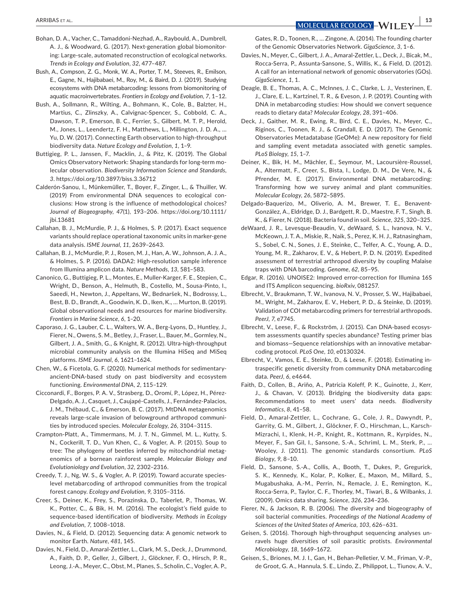- Bohan, D. A., Vacher, C., Tamaddoni-Nezhad, A., Raybould, A., Dumbrell, A. J., & Woodward, G. (2017). Next-generation global biomonitoring: Large-scale, automated reconstruction of ecological networks. *Trends in Ecology and Evolution*, *32*, 477–487.
- Bush, A., Compson, Z. G., Monk, W. A., Porter, T. M., Steeves, R., Emilson, E., Gagne, N., Hajibabaei, M., Roy, M., & Baird, D. J. (2019). Studying ecosystems with DNA metabarcoding: lessons from biomonitoring of aquatic macroinvertebrates. *Frontiers in Ecology and Evolution*, *7*, 1–12.
- Bush, A., Sollmann, R., Wilting, A., Bohmann, K., Cole, B., Balzter, H., Martius, C., Zlinszky, A., Calvignac-Spencer, S., Cobbold, C. A., Dawson, T. P., Emerson, B. C., Ferrier, S., Gilbert, M. T. P., Herold, M., Jones, L., Leendertz, F. H., Matthews, L., Millington, J. D. A., … Yu, D. W. (2017). Connecting Earth observation to high-throughput biodiversity data. *Nature Ecology and Evolution*, *1*, 1–9.
- Buttigieg, P. L., Janssen, F., Macklin, J., & Pitz, K. (2019). The Global Omics Observatory Network: Shaping standards for long-term molecular observation. *Biodiversity Information Science and Standards*, *3*. <https://doi.org/10.3897/biss.3.36712>
- Calderón-Sanou, I., Münkemüller, T., Boyer, F., Zinger, L., & Thuiller, W. (2019) From environmental DNA sequences to ecological conclusions: How strong is the influence of methodological choices? *Journal of Biogeography*, *47*(1), 193–206. [https://doi.org/10.1111/](https://doi.org/10.1111/jbi.13681) [jbi.13681](https://doi.org/10.1111/jbi.13681)
- Callahan, B. J., McMurdie, P. J., & Holmes, S. P. (2017). Exact sequence variants should replace operational taxonomic units in marker-gene data analysis. *ISME Journal*, *11*, 2639–2643.
- Callahan, B. J., McMurdie, P. J., Rosen, M. J., Han, A. W., Johnson, A. J. A., & Holmes, S. P. (2016). DADA2: High-resolution sample inference from Illumina amplicon data. *Nature Methods*, *13*, 581–583.
- Canonico, G., Buttigieg, P. L., Montes, E., Muller-Karger, F. E., Stepien, C., Wright, D., Benson, A., Helmuth, B., Costello, M., Sousa-Pinto, I., Saeedi, H., Newton, J., Appeltans, W., Bednaršek, N., Bodrossy, L., Best, B. D., Brandt, A., Goodwin, K. D., Iken, K., … Murton, B. (2019). Global observational needs and resources for marine biodiversity. *Frontiers in Marine Science*, *6*, 1–20.
- Caporaso, J. G., Lauber, C. L., Walters, W. A., Berg-Lyons, D., Huntley, J., Fierer, N., Owens, S. M., Betley, J., Fraser, L., Bauer, M., Gormley, N., Gilbert, J. A., Smith, G., & Knight, R. (2012). Ultra-high-throughput microbial community analysis on the Illumina HiSeq and MiSeq platforms. *ISME Journal*, *6*, 1621–1624.
- Chen, W., & Ficetola, G. F. (2020). Numerical methods for sedimentaryancient-DNA-based study on past biodiversity and ecosystem functioning. *Environmental DNA*, *2*, 115–129.
- Cicconardi, F., Borges, P. A. V., Strasberg, D., Oromí, P., López, H., Pérez-Delgado, A. J., Casquet, J., Caujapé-Castells, J., Fernández-Palacios, J. M., Thébaud, C., & Emerson, B. C. (2017). MtDNA metagenomics reveals large-scale invasion of belowground arthropod communities by introduced species. *Molecular Ecology*, *26*, 3104–3115.
- Crampton-Platt, A., Timmermans, M. J. T. N., Gimmel, M. L., Kutty, S. N., Cockerill, T. D., Vun Khen, C., & Vogler, A. P. (2015). Soup to tree: The phylogeny of beetles inferred by mitochondrial metagenomics of a bornean rainforest sample. *Molecular Biology and Evolutioniology and Evolution*, *32*, 2302–2316.
- Creedy, T. J., Ng, W. S., & Vogler, A. P. (2019). Toward accurate specieslevel metabarcoding of arthropod communities from the tropical forest canopy. *Ecology and Evolution*, *9*, 3105–3116.
- Creer, S., Deiner, K., Frey, S., Porazinska, D., Taberlet, P., Thomas, W. K., Potter, C., & Bik, H. M. (2016). The ecologist's field guide to sequence-based identification of biodiversity. *Methods in Ecology and Evolution*, *7*, 1008–1018.
- Davies, N., & Field, D. (2012). Sequencing data: A genomic network to monitor Earth. *Nature*, *481*, 145.
- Davies, N., Field, D., Amaral-Zettler, L., Clark, M. S., Deck, J., Drummond, A., Faith, D. P., Geller, J., Gilbert, J., Glöckner, F. O., Hirsch, P. R., Leong, J.-A., Meyer, C., Obst, M., Planes, S., Scholin, C., Vogler, A. P.,

Gates, R. D., Toonen, R., … Zingone, A. (2014). The founding charter of the Genomic Observatories Network. *GigaScience*, *3*, 1–6.

- Davies, N., Meyer, C., Gilbert, J. A., Amaral-Zettler, L., Deck, J., Bicak, M., Rocca-Serra, P., Assunta-Sansone, S., Willis, K., & Field, D. (2012). A call for an international network of genomic observatories (GOs). *GigaScience*, *1*, 1.
- Deagle, B. E., Thomas, A. C., McInnes, J. C., Clarke, L. J., Vesterinen, E. J., Clare, E. L., Kartzinel, T. R., & Eveson, J. P. (2019). Counting with DNA in metabarcoding studies: How should we convert sequence reads to dietary data? *Molecular Ecology*, *28*, 391–406.
- Deck, J., Gaither, M. R., Ewing, R., Bird, C. E., Davies, N., Meyer, C., Riginos, C., Toonen, R. J., & Crandall, E. D. (2017). The Genomic Observatories Metadatabase (GeOMe): A new repository for field and sampling event metadata associated with genetic samples. *PLoS Biology*, *15*, 1–7.
- Deiner, K., Bik, H. M., Mächler, E., Seymour, M., Lacoursière-Roussel, A., Altermatt, F., Creer, S., Bista, I., Lodge, D. M., De Vere, N., & Pfrender, M. E. (2017). Environmental DNA metabarcoding: Transforming how we survey animal and plant communities. *Molecular Ecology*, *26*, 5872–5895.
- Delgado-Baquerizo, M., Oliverio, A. M., Brewer, T. E., Benavent-González, A., Eldridge, D. J., Bardgett, R. D., Maestre, F. T., Singh, B. K., & Fierer, N. (2018). Bacteria found in soil. *Science*, *325*, 320–325.
- deWaard, J. R., Levesque-Beaudin, V., deWaard, S. L., Ivanova, N. V., McKeown, J. T. A., Miskie, R., Naik, S., Perez, K. H. J., Ratnasingham, S., Sobel, C. N., Sones, J. E., Steinke, C., Telfer, A. C., Young, A. D., Young, M. R., Zakharov, E. V., & Hebert, P. D. N. (2019). Expedited assessment of terrestrial arthropod diversity by coupling Malaise traps with DNA barcoding. *Genome*, *62*, 85–95.
- Edgar, R. (2016). UNOISE2: Improved error-correction for Illumina 16S and ITS Amplicon sequencing. *bioRxiv*, 081257.
- Elbrecht, V., Braukmann, T. W., Ivanova, N. V., Prosser, S. W., Hajibabaei, M., Wright, M., Zakharov, E. V., Hebert, P. D., & Steinke, D. (2019). Validation of COI metabarcoding primers for terrestrial arthropods. *PeerJ*, *7*, e7745.
- Elbrecht, V., Leese, F., & Rockström, J. (2015). Can DNA-based ecosystem assessments quantify species abundance? Testing primer bias and biomass—Sequence relationships with an innovative metabarcoding protocol. *PLoS One*, *10*, e0130324.
- Elbrecht, V., Vamos, E. E., Steinke, D., & Leese, F. (2018). Estimating intraspecific genetic diversity from community DNA metabarcoding data. *PeerJ*, *6*, e4644.
- Faith, D., Collen, B., Ariño, A., Patricia Koleff, P. K., Guinotte, J., Kerr, J., & Chavan, V. (2013). Bridging the biodiversity data gaps: Recommendations to meet users' data needs. *Biodiversity Informatics*, *8*, 41–58.
- Field, D., Amaral-Zettler, L., Cochrane, G., Cole, J. R., Dawyndt, P., Garrity, G. M., Gilbert, J., Glöckner, F. O., Hirschman, L., Karsch-Mizrachi, I., Klenk, H.-P., Knight, R., Kottmann, R., Kyrpides, N., Meyer, F., San Gil, I., Sansone, S.-A., Schriml, L. M., Sterk, P., … Wooley, J. (2011). The genomic standards consortium. *PLoS Biology*, *9*, 8–10.
- Field, D., Sansone, S.-A., Collis, A., Booth, T., Dukes, P., Gregurick, S. K., Kennedy, K., Kolar, P., Kolker, E., Maxon, M., Millard, S., Mugabushaka, A.-M., Perrin, N., Remacle, J. E., Remington, K., Rocca-Serra, P., Taylor, C. F., Thorley, M., Tiwari, B., & Wilbanks, J. (2009). Omics data sharing. *Science*, *326*, 234–236.
- Fierer, N., & Jackson, R. B. (2006). The diversity and biogeography of soil bacterial communities. *Proceedings of the National Academy of Sciences of the United States of America*, *103*, 626–631.
- Geisen, S. (2016). Thorough high-throughput sequencing analyses unravels huge diversities of soil parasitic protists. *Environmental Microbiology*, *18*, 1669–1672.
- Geisen, S., Briones, M. J. I., Gan, H., Behan-Pelletier, V. M., Friman, V.-P., de Groot, G. A., Hannula, S. E., Lindo, Z., Philippot, L., Tiunov, A. V.,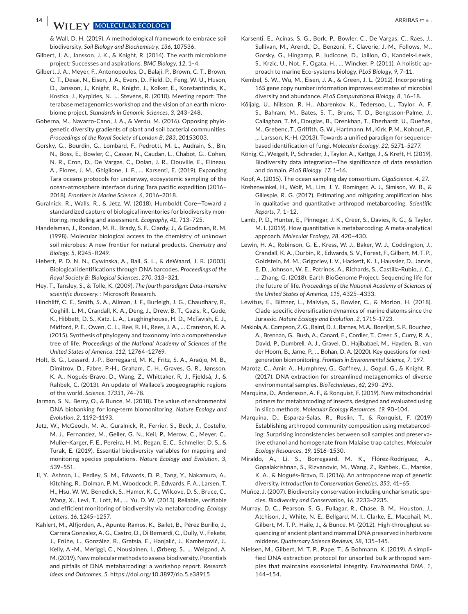**14 <sup>|</sup>**  ARRIBAS et al.

& Wall, D. H. (2019). A methodological framework to embrace soil biodiversity. *Soil Biology and Biochemistry*, *136*, 107536.

- Gilbert, J. A., Jansson, J. K., & Knight, R. (2014). The earth microbiome project: Successes and aspirations. *BMC Biology*, *12*, 1–4.
- Gilbert, J. A., Meyer, F., Antonopoulos, D., Balaji, P., Brown, C. T., Brown, C. T., Desai, N., Eisen, J. A., Evers, D., Field, D., Feng, W. U., Huson, D., Jansson, J., Knight, R., Knight, J., Kolker, E., Konstantindis, K., Kostka, J., Kyrpides, N., … Stevens, R. (2010). Meeting report: The terabase metagenomics workshop and the vision of an earth microbiome project. *Standards in Genomic Sciences*, *3*, 243–248.
- Goberna, M., Navarro-Cano, J. A., & Verdu, M. (2016). Opposing phylogenetic diversity gradients of plant and soil bacterial communities. *Proceedings of the Royal Society of London B*, *283*, 20153003.
- Gorsky, G., Bourdin, G., Lombard, F., Pedrotti, M. L., Audrain, S., Bin, N., Boss, E., Bowler, C., Cassar, N., Caudan, L., Chabot, G., Cohen, N. R., Cron, D., De Vargas, C., Dolan, J. R., Douville, E., Elineau, A., Flores, J. M., Ghiglione, J. F., … Karsenti, E. (2019). Expanding Tara oceans protocols for underway, ecosystemic sampling of the ocean-atmosphere interface during Tara pacific expedition (2016– 2018). *Frontiers in Marine Science*, *6*, 2016–2018.
- Guralnick, R., Walls, R., & Jetz, W. (2018). Humboldt Core—Toward a standardized capture of biological inventories for biodiversity monitoring, modeling and assessment. *Ecography*, *41*, 713–725.
- Handelsman, J., Rondon, M. R., Brady, S. F., Clardy, J., & Goodman, R. M. (1998). Molecular biological access to the chemistry of unknown soil microbes: A new frontier for natural products. *Chemistry and Biology*, *5*, R245–R249.
- Hebert, P. D. N. N., Cywinska, A., Ball, S. L., & deWaard, J. R. (2003). Biological identifications through DNA barcodes. *Proceedings of the Royal Society B: Biological Sciences*, *270*, 313–321.
- Hey, T., Tansley, S., & Tolle, K. (2009). *The fourth paradigm: Data-intensive scientific discovery*. : Microsoft Research.
- Hinchliff, C. E., Smith, S. A., Allman, J. F., Burleigh, J. G., Chaudhary, R., Coghill, L. M., Crandall, K. A., Deng, J., Drew, B. T., Gazis, R., Gude, K., Hibbett, D. S., Katz, L. A., Laughinghouse, H. D., McTavish, E. J., Midford, P. E., Owen, C. L., Ree, R. H., Rees, J. A., … Cranston, K. A. (2015). Synthesis of phylogeny and taxonomy into a comprehensive tree of life. *Proceedings of the National Academy of Sciences of the United States of America*, *112*, 12764–12769.
- Holt, B. G., Lessard, J.-P., Borregaard, M. K., Fritz, S. A., Araújo, M. B., Dimitrov, D., Fabre, P.-H., Graham, C. H., Graves, G. R., Jønsson, K. A., Nogués-Bravo, D., Wang, Z., Whittaker, R. J., Fjeldså, J., & Rahbek, C. (2013). An update of Wallace's zoogeographic regions of the world. *Science*, *17331*, 74–78.
- Jarman, S. N., Berry, O., & Bunce, M. (2018). The value of environmental DNA biobanking for long-term biomonitoring. *Nature Ecology and Evolution*, *2*, 1192–1193.
- Jetz, W., McGeoch, M. A., Guralnick, R., Ferrier, S., Beck, J., Costello, M. J., Fernandez, M., Geller, G. N., Keil, P., Merow, C., Meyer, C., Muller-Karger, F. E., Pereira, H. M., Regan, E. C., Schmeller, D. S., & Turak, E. (2019). Essential biodiversity variables for mapping and monitoring species populations. *Nature Ecology and Evolution*, *3*, 539–551.
- Ji, Y., Ashton, L., Pedley, S. M., Edwards, D. P., Tang, Y., Nakamura, A., Kitching, R., Dolman, P. M., Woodcock, P., Edwards, F. A., Larsen, T. H., Hsu, W. W., Benedick, S., Hamer, K. C., Wilcove, D. S., Bruce, C., Wang, X., Levi, T., Lott, M., … Yu, D. W. (2013). Reliable, verifiable and efficient monitoring of biodiversity via metabarcoding. *Ecology Letters*, *16*, 1245–1257.
- Kahlert, M., Alfjorden, A., Apunte-Ramos, K., Bailet, B., Pérez Burillo, J., Carrera Gonzalez, A. G., Castro, D., Di Bernardi, C., Dully, V., Fekete, J., Frühe, L., González, R., Gratsia, E., Hanjalić, J., Kamberović, J., Kelly, A.-M., Meriggi, C., Nousiainen, I., Ørberg, S., … Weigand, A. M. (2019). New molecular methods to assess biodiversity. Potentials and pitfalls of DNA metabarcoding: a workshop report. *Research Ideas and Outcomes*, *5*.<https://doi.org/10.3897/rio.5.e38915>
- Karsenti, E., Acinas, S. G., Bork, P., Bowler, C., De Vargas, C., Raes, J., Sullivan, M., Arendt, D., Benzoni, F., Claverie, J.-M., Follows, M., Gorsky, G., Hingamp, P., Iudicone, D., Jaillon, O., Kandels-Lewis, S., Krzic, U., Not, F., Ogata, H., … Wincker, P. (2011). A holistic approach to marine Eco-systems biology. *PLoS Biology*, *9*, 7–11.
- Kembel, S. W., Wu, M., Eisen, J. A., & Green, J. L. (2012). Incorporating 16S gene copy number information improves estimates of microbial diversity and abundance. *PLoS Computational Biology*, *8*, 16–18.
- Kõljalg, U., Nilsson, R. H., Abarenkov, K., Tedersoo, L., Taylor, A. F. S., Bahram, M., Bates, S. T., Bruns, T. D., Bengtsson-Palme, J., Callaghan, T. M., Douglas, B., Drenkhan, T., Eberhardt, U., Dueñas, M., Grebenc, T., Griffith, G. W., Hartmann, M., Kirk, P. M., Kohout, P., … Larsson, K.-H. (2013). Towards a unified paradigm for sequencebased identification of fungi. *Molecular Ecology*, *22*, 5271–5277.
- König, C., Weigelt, P., Schrader, J., Taylor, A., Kattge, J., & Kreft, H. (2019). Biodiversity data integration—The significance of data resolution and domain. *PLoS Biology*, *17*, 1–16.
- Kopf, A. (2015). The ocean sampling day consortium. *GigaScience*, *4*, 27.
- Krehenwinkel, H., Wolf, M., Lim, J. Y., Rominger, A. J., Simison, W. B., & Gillespie, R. G. (2017). Estimating and mitigating amplification bias in qualitative and quantitative arthropod metabarcoding. *Scientific Reports*, *7*, 1–12.
- Lamb, P. D., Hunter, E., Pinnegar, J. K., Creer, S., Davies, R. G., & Taylor, M. I. (2019). How quantitative is metabarcoding: A meta-analytical approach. *Molecular Ecology*, *28*, 420–430.
- Lewin, H. A., Robinson, G. E., Kress, W. J., Baker, W. J., Coddington, J., Crandall, K. A., Durbin, R., Edwards, S. V., Forest, F., Gilbert, M. T. P., Goldstein, M. M., Grigoriev, I. V., Hackett, K. J., Haussler, D., Jarvis, E. D., Johnson, W. E., Patrinos, A., Richards, S., Castilla-Rubio, J. C., … Zhang, G. (2018). Earth BioGenome Project: Sequencing life for the future of life. *Proceedings of the National Academy of Sciences of the United States of America*, *115*, 4325–4333.
- Lewitus, E., Bittner, L., Malviya, S., Bowler, C., & Morlon, H. (2018). Clade-specific diversification dynamics of marine diatoms since the Jurassic. *Nature Ecology and Evolution*, *2*, 1715–1723.
- Makiola, A., Compson, Z. G., Baird, D. J., Barnes, M. A., Boerlijst, S. P., Bouchez, A., Brennan, G., Bush, A., Canard, E., Cordier, T., Creer, S., Curry, R. A., David, P., Dumbrell, A. J., Gravel, D., Hajibabaei, M., Hayden, B., van der Hoorn, B., Jarne, P., … Bohan, D. A. (2020). Key questions for nextgeneration biomonitoring. *Frontiers in Environmental Science*, *7*, 197.
- Marotz, C., Amir, A., Humphrey, G., Gaffney, J., Gogul, G., & Knight, R. (2017). DNA extraction for streamlined metagenomics of diverse environmental samples. *BioTechniques*, *62*, 290–293.
- Marquina, D., Andersson, A. F., & Ronquist, F. (2019). New mitochondrial primers for metabarcoding of insects, designed and evaluated using in silico methods. *Molecular Ecology Resources*, *19*, 90–104.
- Marquina, D., Esparza-Salas, R., Roslin, T., & Ronquist, F. (2019) Establishing arthropod community composition using metabarcoding: Surprising inconsistencies between soil samples and preservative ethanol and homogenate from Malaise trap catches. *Molecular Ecology Resources*, *19*, 1516–1530.
- Miraldo, A., Li, S., Borregaard, M. K., Flórez-Rodríguez, A., Gopalakrishnan, S., Rizvanovic, M., Wang, Z., Rahbek, C., Marske, K. A., & Nogués-Bravo, D. (2016). An antropocene map of genetic diversity. *Introduction to Conservation Genetics*, *353*, 41–65.
- Muñoz, J. (2007). Biodiversity conservation including uncharismatic species. *Biodiversity and Conservation*, *16*, 2233–2235.
- Murray, D. C., Pearson, S. G., Fullagar, R., Chase, B. M., Houston, J., Atchison, J., White, N. E., Bellgard, M. I., Clarke, E., Macphail, M., Gilbert, M. T. P., Haile, J., & Bunce, M. (2012). High-throughput sequencing of ancient plant and mammal DNA preserved in herbivore middens. *Quaternary Science Reviews*, *58*, 135–145.
- Nielsen, M., Gilbert, M. T. P., Pape, T., & Bohmann, K. (2019). A simplified DNA extraction protocol for unsorted bulk arthropod samples that maintains exoskeletal integrity. *Environmental DNA*, *1*, 144–154.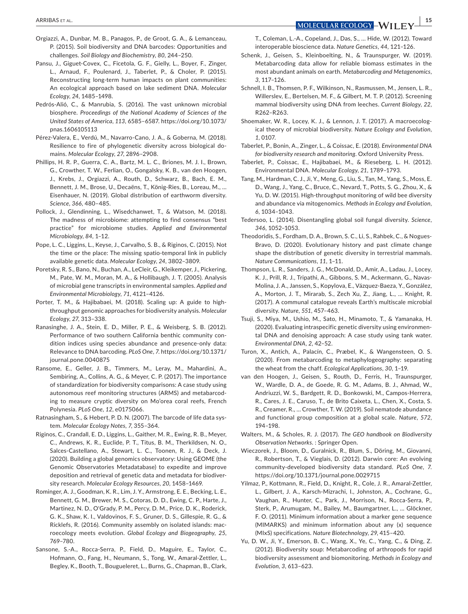- Orgiazzi, A., Dunbar, M. B., Panagos, P., de Groot, G. A., & Lemanceau, P. (2015). Soil biodiversity and DNA barcodes: Opportunities and challenges. *Soil Biology and Biochemistry*, *80*, 244–250.
- Pansu, J., Giguet-Covex, C., Ficetola, G. F., Gielly, L., Boyer, F., Zinger, L., Arnaud, F., Poulenard, J., Taberlet, P., & Choler, P. (2015). Reconstructing long-term human impacts on plant communities: An ecological approach based on lake sediment DNA. *Molecular Ecology*, *24*, 1485–1498.
- Pedrós-Alió, C., & Manrubia, S. (2016). The vast unknown microbial biosphere. *Proceedings of the National Academy of Sciences of the United States of America*, *113*, 6585–6587. [https://doi.org/10.1073/](https://doi.org/10.1073/pnas.1606105113) [pnas.1606105113](https://doi.org/10.1073/pnas.1606105113)
- Pérez-Valera, E., Verdú, M., Navarro-Cano, J. A., & Goberna, M. (2018). Resilience to fire of phylogenetic diversity across biological domains. *Molecular Ecology*, *27*, 2896–2908.
- Phillips, H. R. P., Guerra, C. A., Bartz, M. L. C., Briones, M. J. I., Brown, G., Crowther, T. W., Ferlian, O., Gongalsky, K. B., van den Hoogen, J., Krebs, J., Orgiazzi, A., Routh, D., Schwarz, B., Bach, E. M., Bennett, J. M., Brose, U., Decaëns, T., König-Ries, B., Loreau, M., … Eisenhauer, N. (2019). Global distribution of earthworm diversity. *Science*, *366*, 480–485.
- Pollock, J., Glendinning, L., Wisedchanwet, T., & Watson, M. (2018). The madness of microbiome: attempting to find consensus "best practice" for microbiome studies. *Applied and Environmental Microbiology*, *84*, 1–12.
- Pope, L. C., Liggins, L., Keyse, J., Carvalho, S. B., & Riginos, C. (2015). Not the time or the place: The missing spatio-temporal link in publicly available genetic data. *Molecular Ecology*, *24*, 3802–3809.
- Poretsky, R. S., Bano, N., Buchan, A., LeCleir, G., Kleikemper, J., Pickering, M., Pate, W. M., Moran, M. A., & Hollibaugh, J. T. (2005). Analysis of microbial gene transcripts in environmental samples. *Applied and Environmental Microbiology*, *71*, 4121–4126.
- Porter, T. M., & Hajibabaei, M. (2018). Scaling up: A guide to highthroughput genomic approaches for biodiversity analysis. *Molecular Ecology*, *27*, 313–338.
- Ranasinghe, J. A., Stein, E. D., Miller, P. E., & Weisberg, S. B. (2012). Performance of two southern California benthic community condition indices using species abundance and presence-only data: Relevance to DNA barcoding. *PLoS One*, *7*. [https://doi.org/10.1371/](https://doi.org/10.1371/journal.pone.0040875) [journal.pone.0040875](https://doi.org/10.1371/journal.pone.0040875)
- Ransome, E., Geller, J. B., Timmers, M., Leray, M., Mahardini, A., Sembiring, A., Collins, A. G., & Meyer, C. P. (2017). The importance of standardization for biodiversity comparisons: A case study using autonomous reef monitoring structures (ARMS) and metabarcoding to measure cryptic diversity on Mo'orea coral reefs, French Polynesia. *PLoS One*, *12*, e0175066.
- Ratnasingham, S., & Hebert, P. D. N. (2007). The barcode of life data system. *Molecular Ecology Notes*, *7*, 355–364.
- Riginos, C., Crandall, E. D., Liggins, L., Gaither, M. R., Ewing, R. B., Meyer, C., Andrews, K. R., Euclide, P. T., Titus, B. M., Therkildsen, N. O., Salces-Castellano, A., Stewart, L. C., Toonen, R. J., & Deck, J. (2020). Building a global genomics observatory: Using GEOME (the Genomic Observatories Metadatabase) to expedite and improve deposition and retrieval of genetic data and metadata for biodiversity research. *Molecular Ecology Resources*, *20*, 1458–1469.
- Rominger, A. J., Goodman, K. R., Lim, J. Y., Armstrong, E. E., Becking, L. E., Bennett, G. M., Brewer, M. S., Cotoras, D. D., Ewing, C. P., Harte, J., Martinez, N. D., O'Grady, P. M., Percy, D. M., Price, D. K., Roderick, G. K., Shaw, K. I., Valdovinos, F. S., Gruner, D. S., Gillespie, R. G., & Ricklefs, R. (2016). Community assembly on isolated islands: macroecology meets evolution. *Global Ecology and Biogeography*, *25*, 769–780.
- Sansone, S.-A., Rocca-Serra, P., Field, D., Maguire, E., Taylor, C., Hofmann, O., Fang, H., Neumann, S., Tong, W., Amaral-Zettler, L., Begley, K., Booth, T., Bougueleret, L., Burns, G., Chapman, B., Clark,

T., Coleman, L.-A., Copeland, J., Das, S., … Hide, W. (2012). Toward interoperable bioscience data. *Nature Genetics*, *44*, 121–126.

- Schenk, J., Geisen, S., Kleinboelting, N., & Traunspurger, W. (2019). Metabarcoding data allow for reliable biomass estimates in the most abundant animals on earth. *Metabarcoding and Metagenomics*, *3*, 117–126.
- Schnell, I. B., Thomsen, P. F., Wilkinson, N., Rasmussen, M., Jensen, L. R., Willerslev, E., Bertelsen, M. F., & Gilbert, M. T. P. (2012). Screening mammal biodiversity using DNA from leeches. *Current Biology*, *22*, R262–R263.
- Shoemaker, W. R., Locey, K. J., & Lennon, J. T. (2017). A macroecological theory of microbial biodiversity. *Nature Ecology and Evolution*, *1*, 0107.
- Taberlet, P., Bonin, A., Zinger, L., & Coissac, E. (2018). *Environmental DNA for biodiversity research and monitoring*. Oxford University Press.
- Taberlet, P., Coissac, E., Hajibabaei, M., & Rieseberg, L. H. (2012). Environmental DNA. *Molecular Ecology*, *21*, 1789–1793.
- Tang, M., Hardman, C. J., Ji, Y., Meng, G., Liu, S., Tan, M., Yang, S., Moss, E. D., Wang, J., Yang, C., Bruce, C., Nevard, T., Potts, S. G., Zhou, X., & Yu, D. W. (2015). High-throughput monitoring of wild bee diversity and abundance via mitogenomics. *Methods in Ecology and Evolution*, *6*, 1034–1043.
- Tedersoo, L. (2014). Disentangling global soil fungal diversity. *Science*, *346*, 1052–1053.
- Theodoridis, S., Fordham, D. A., Brown, S. C., Li, S., Rahbek, C., & Nogues-Bravo, D. (2020). Evolutionary history and past climate change shape the distribution of genetic diversity in terrestrial mammals. *Nature Communications*, *11*, 1–11.
- Thompson, L. R., Sanders, J. G., McDonald, D., Amir, A., Ladau, J., Locey, K. J., Prill, R. J., Tripathi, A., Gibbons, S. M., Ackermann, G., Navas-Molina, J. A., Janssen, S., Kopylova, E., Vázquez-Baeza, Y., González, A., Morton, J. T., Mirarab, S., Zech Xu, Z., Jiang, L., … Knight, R. (2017). A communal catalogue reveals Earth's multiscale microbial diversity. *Nature*, *551*, 457–463.
- Tsuji, S., Miya, M., Ushio, M., Sato, H., Minamoto, T., & Yamanaka, H. (2020). Evaluating intraspecific genetic diversity using environmental DNA and denoising approach: A case study using tank water. *Environmental DNA*, *2*, 42–52.
- Turon, X., Antich, A., Palacín, C., Præbel, K., & Wangensteen, O. S. (2020). From metabarcoding to metaphylogeography: separating the wheat from the chaff. *Ecological Applications*, *30*, 1–19.
- van den Hoogen, J., Geisen, S., Routh, D., Ferris, H., Traunspurger, W., Wardle, D. A., de Goede, R. G. M., Adams, B. J., Ahmad, W., Andriuzzi, W. S., Bardgett, R. D., Bonkowski, M., Campos-Herrera, R., Cares, J. E., Caruso, T., de Brito Caixeta, L., Chen, X., Costa, S. R., Creamer, R., … Crowther, T. W. (2019). Soil nematode abundance and functional group composition at a global scale. *Nature*, *572*, 194–198.
- Walters, M., & Scholes, R. J. (2017). *The GEO handbook on Biodiversity Observation Networks*. : Springer Open.
- Wieczorek, J., Bloom, D., Guralnick, R., Blum, S., Döring, M., Giovanni, R., Robertson, T., & Vieglais, D. (2012). Darwin core: An evolving community-developed biodiversity data standard. *PLoS One*, *7*. <https://doi.org/10.1371/journal.pone.0029715>
- Yilmaz, P., Kottmann, R., Field, D., Knight, R., Cole, J. R., Amaral-Zettler, L., Gilbert, J. A., Karsch-Mizrachi, I., Johnston, A., Cochrane, G., Vaughan, R., Hunter, C., Park, J., Morrison, N., Rocca-Serra, P., Sterk, P., Arumugam, M., Bailey, M., Baumgartner, L., … Glöckner, F. O. (2011). Minimum information about a marker gene sequence (MIMARKS) and minimum information about any (x) sequence (MIxS) specifications. *Nature Biotechnology*, *29*, 415–420.
- Yu, D. W., Ji, Y., Emerson, B. C., Wang, X., Ye, C., Yang, C., & Ding, Z. (2012). Biodiversity soup: Metabarcoding of arthropods for rapid biodiversity assessment and biomonitoring. *Methods in Ecology and Evolution*, *3*, 613–623.